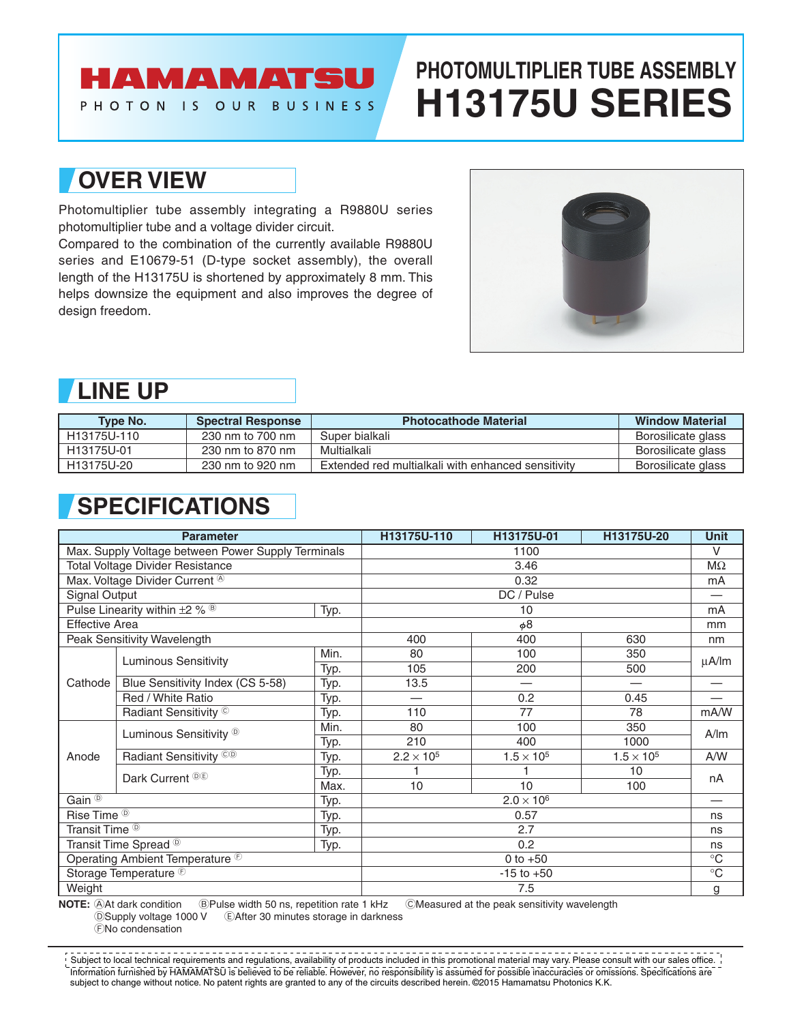## HAMAMATSU

PHOTON IS OUR BUSINESS

# **PHOTOMULTIPLIER TUBE ASSEMBLY H13175U SERIES**

### **OVER VIEW**

Photomultiplier tube assembly integrating a R9880U series photomultiplier tube and a voltage divider circuit.

Compared to the combination of the currently available R9880U series and E10679-51 (D-type socket assembly), the overall length of the H13175U is shortened by approximately 8 mm. This helps downsize the equipment and also improves the degree of design freedom.



### **LINE UP**

| <b>Type No.</b> | <b>Spectral Response</b> | <b>Photocathode Material</b>                       | <b>Window Material</b> |
|-----------------|--------------------------|----------------------------------------------------|------------------------|
| H13175U-110     | 230 nm to 700 nm         | Super bialkali                                     | Borosilicate glass     |
| H13175U-01      | 230 nm to 870 nm         | Multialkali                                        | Borosilicate glass     |
| H13175U-20      | 230 nm to 920 nm         | Extended red multialkali with enhanced sensitivity | Borosilicate glass     |

## **SPECIFICATIONS**

| <b>Parameter</b>                                   |                                               | H13175U-110       | H13175U-01               | H13175U-20        | <b>Unit</b>         |            |
|----------------------------------------------------|-----------------------------------------------|-------------------|--------------------------|-------------------|---------------------|------------|
| Max. Supply Voltage between Power Supply Terminals |                                               | 1100              |                          |                   |                     |            |
| <b>Total Voltage Divider Resistance</b>            |                                               | 3.46              |                          |                   |                     |            |
|                                                    | Max. Voltage Divider Current <sup>®</sup>     |                   | 0.32                     |                   |                     |            |
| <b>Signal Output</b>                               |                                               |                   | DC / Pulse               |                   |                     |            |
|                                                    | Pulse Linearity within $\pm 2\%$ <sup>®</sup> | Typ.              | 10                       |                   |                     |            |
| <b>Effective Area</b>                              |                                               |                   | $\phi$ 8                 |                   |                     |            |
|                                                    | Peak Sensitivity Wavelength                   |                   | 400                      | 400               | 630                 | nm         |
|                                                    | <b>Luminous Sensitivity</b>                   | Min.              | 80                       | 100               | 350                 | $\mu$ A/lm |
|                                                    |                                               | Typ.              | 105                      | 200               | 500                 |            |
| Cathode                                            | Blue Sensitivity Index (CS 5-58)              | Typ.              | 13.5                     |                   |                     |            |
|                                                    | Red / White Ratio                             | Typ.              | $\overline{\phantom{0}}$ | 0.2               | 0.45                |            |
|                                                    | Radiant Sensitivity ©                         | Typ.              | 110                      | 77                | 78                  | mA/W       |
|                                                    | Luminous Sensitivity <sup>®</sup>             | Min.              | 80<br>100<br>350<br>A/m  |                   |                     |            |
|                                                    |                                               | Typ.              | 210                      | 400               | 1000                |            |
| Anode                                              | Radiant Sensitivity <sup>CO</sup>             | Typ.              | $2.2 \times 10^{5}$      | $1.5 \times 10^5$ | $1.5 \times 10^{5}$ | A/W        |
|                                                    | Dark Current <sup>®®</sup>                    | Typ.              |                          |                   | 10                  | nA         |
|                                                    |                                               | Max.              | 10                       | 10                | 100                 |            |
| Gain $\overline{0}$<br>Typ.                        |                                               | $2.0 \times 10^6$ |                          |                   |                     |            |
| Rise Time <sup><sup>®</sup></sup><br>Typ.          |                                               | 0.57              |                          |                   |                     |            |
| Transit Time <sup><sup>®</sup></sup><br>Typ.       |                                               | 2.7               |                          |                   |                     |            |
| Transit Time Spread <sup>®</sup><br>Typ.           |                                               | 0.2               |                          |                   |                     |            |
| Operating Ambient Temperature <sup>®</sup>         |                                               | 0 to $+50$        |                          |                   |                     |            |
| Storage Temperature <sup>®</sup>                   |                                               | $-15$ to $+50$    |                          |                   |                     |            |
| Weight                                             |                                               | 7.5               |                          |                   | g                   |            |

**NOTE:** AAt dark condition **BPulse width 50 ns, repetition rate 1 kHz** CMeasured at the peak sensitivity wavelength DSupply voltage 1000 V EAfter 30 minutes storage in darkness

FNo condensation

Information furnished by HAMAMATSU is believed to be reliable. However, no responsibility is assumed for possible inaccuracies or omissions. Specifications are subject to change without notice. No patent rights are granted to any of the circuits described herein. ©2015 Hamamatsu Photonics K.K.  $^{\prime}$  Subject to local technical requirements and regulations, availability of products included in this promotional material may vary. Please consult with our sales office.  $^{\prime}$